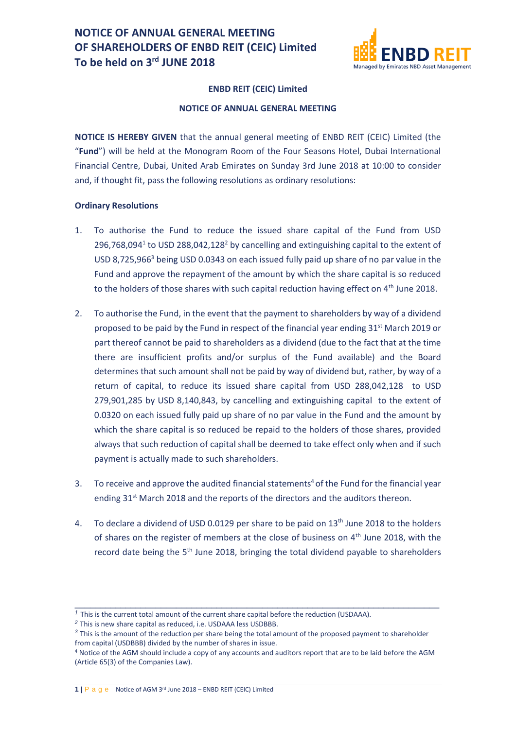

### **ENBD REIT (CEIC) Limited**

### **NOTICE OF ANNUAL GENERAL MEETING**

**NOTICE IS HEREBY GIVEN** that the annual general meeting of ENBD REIT (CEIC) Limited (the "**Fund**") will be held at the Monogram Room of the Four Seasons Hotel, Dubai International Financial Centre, Dubai, United Arab Emirates on Sunday 3rd June 2018 at 10:00 to consider and, if thought fit, pass the following resolutions as ordinary resolutions:

## **Ordinary Resolutions**

- 1. To authorise the Fund to reduce the issued share capital of the Fund from USD 296,768,094<sup>1</sup> to USD 288,042,128<sup>2</sup> by cancelling and extinguishing capital to the extent of USD 8,725,966<sup>3</sup> being USD 0.0343 on each issued fully paid up share of no par value in the Fund and approve the repayment of the amount by which the share capital is so reduced to the holders of those shares with such capital reduction having effect on 4<sup>th</sup> June 2018.
- 2. To authorise the Fund, in the event that the payment to shareholders by way of a dividend proposed to be paid by the Fund in respect of the financial year ending  $31^{st}$  March 2019 or part thereof cannot be paid to shareholders as a dividend (due to the fact that at the time there are insufficient profits and/or surplus of the Fund available) and the Board determines that such amount shall not be paid by way of dividend but, rather, by way of a return of capital, to reduce its issued share capital from USD 288,042,128 to USD 279,901,285 by USD 8,140,843, by cancelling and extinguishing capital to the extent of 0.0320 on each issued fully paid up share of no par value in the Fund and the amount by which the share capital is so reduced be repaid to the holders of those shares, provided always that such reduction of capital shall be deemed to take effect only when and if such payment is actually made to such shareholders.
- 3. To receive and approve the audited financial statements<sup>4</sup> of the Fund for the financial year ending 31<sup>st</sup> March 2018 and the reports of the directors and the auditors thereon.
- 4. To declare a dividend of USD 0.0129 per share to be paid on 13<sup>th</sup> June 2018 to the holders of shares on the register of members at the close of business on 4<sup>th</sup> June 2018, with the record date being the 5<sup>th</sup> June 2018, bringing the total dividend payable to shareholders

 $\_$  , and the set of the set of the set of the set of the set of the set of the set of the set of the set of the set of the set of the set of the set of the set of the set of the set of the set of the set of the set of th

*<sup>1</sup>* This is the current total amount of the current share capital before the reduction (USDAAA).

*<sup>2</sup>* This is new share capital as reduced, i.e. USDAAA less USDBBB.

*<sup>3</sup>* This is the amount of the reduction per share being the total amount of the proposed payment to shareholder from capital (USDBBB) divided by the number of shares in issue.

<sup>4</sup> Notice of the AGM should include a copy of any accounts and auditors report that are to be laid before the AGM (Article 65(3) of the Companies Law).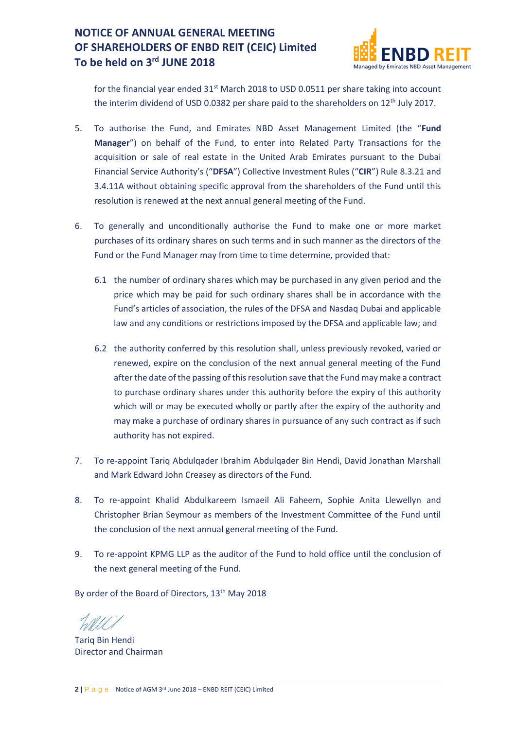

for the financial year ended  $31<sup>st</sup>$  March 2018 to USD 0.0511 per share taking into account the interim dividend of USD 0.0382 per share paid to the shareholders on  $12<sup>th</sup>$  July 2017.

- 5. To authorise the Fund, and Emirates NBD Asset Management Limited (the "**Fund Manager**") on behalf of the Fund, to enter into Related Party Transactions for the acquisition or sale of real estate in the United Arab Emirates pursuant to the Dubai Financial Service Authority's ("**DFSA**") Collective Investment Rules ("**CIR**") Rule 8.3.21 and 3.4.11A without obtaining specific approval from the shareholders of the Fund until this resolution is renewed at the next annual general meeting of the Fund.
- 6. To generally and unconditionally authorise the Fund to make one or more market purchases of its ordinary shares on such terms and in such manner as the directors of the Fund or the Fund Manager may from time to time determine, provided that:
	- 6.1 the number of ordinary shares which may be purchased in any given period and the price which may be paid for such ordinary shares shall be in accordance with the Fund's articles of association, the rules of the DFSA and Nasdaq Dubai and applicable law and any conditions or restrictions imposed by the DFSA and applicable law; and
	- 6.2 the authority conferred by this resolution shall, unless previously revoked, varied or renewed, expire on the conclusion of the next annual general meeting of the Fund after the date of the passing of this resolution save that the Fund may make a contract to purchase ordinary shares under this authority before the expiry of this authority which will or may be executed wholly or partly after the expiry of the authority and may make a purchase of ordinary shares in pursuance of any such contract as if such authority has not expired.
- 7. To re-appoint Tariq Abdulqader Ibrahim Abdulqader Bin Hendi, David Jonathan Marshall and Mark Edward John Creasey as directors of the Fund.
- 8. To re-appoint Khalid Abdulkareem Ismaeil Ali Faheem, Sophie Anita Llewellyn and Christopher Brian Seymour as members of the Investment Committee of the Fund until the conclusion of the next annual general meeting of the Fund.
- 9. To re-appoint KPMG LLP as the auditor of the Fund to hold office until the conclusion of the next general meeting of the Fund.

By order of the Board of Directors, 13<sup>th</sup> May 2018

Tariq Bin Hendi Director and Chairman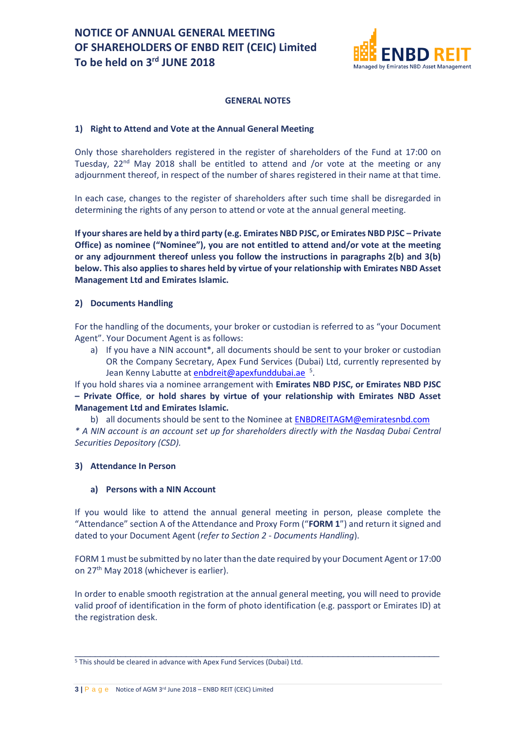

## **GENERAL NOTES**

## **1) Right to Attend and Vote at the Annual General Meeting**

Only those shareholders registered in the register of shareholders of the Fund at 17:00 on Tuesday,  $22<sup>nd</sup>$  May 2018 shall be entitled to attend and /or vote at the meeting or any adjournment thereof, in respect of the number of shares registered in their name at that time.

In each case, changes to the register of shareholders after such time shall be disregarded in determining the rights of any person to attend or vote at the annual general meeting.

**If your shares are held by a third party (e.g. Emirates NBD PJSC, or Emirates NBD PJSC – Private Office) as nominee ("Nominee"), you are not entitled to attend and/or vote at the meeting or any adjournment thereof unless you follow the instructions in paragraphs 2(b) and 3(b) below. This also applies to shares held by virtue of your relationship with Emirates NBD Asset Management Ltd and Emirates Islamic.**

## **2) Documents Handling**

For the handling of the documents, your broker or custodian is referred to as "your Document Agent". Your Document Agent is as follows:

a) If you have a NIN account\*, all documents should be sent to your broker or custodian OR the Company Secretary, Apex Fund Services (Dubai) Ltd, currently represented by Jean Kenny Labutte at **enbdreit@apexfunddubai.ae** <sup>5</sup>.

If you hold shares via a nominee arrangement with **Emirates NBD PJSC, or Emirates NBD PJSC – Private Office**, **or hold shares by virtue of your relationship with Emirates NBD Asset Management Ltd and Emirates Islamic.**

b) all documents should be sent to the Nominee at [ENBDREITAGM@emiratesnbd.com](mailto:ENBDREITAGM@emiratesnbd.com)

*\* A NIN account is an account set up for shareholders directly with the Nasdaq Dubai Central Securities Depository (CSD).*

## **3) Attendance In Person**

#### **a) Persons with a NIN Account**

If you would like to attend the annual general meeting in person, please complete the "Attendance" section A of the Attendance and Proxy Form ("**FORM 1**") and return it signed and dated to your Document Agent (*refer to Section 2 - Documents Handling*).

FORM 1 must be submitted by no later than the date required by your Document Agent or 17:00 on 27<sup>th</sup> May 2018 (whichever is earlier).

In order to enable smooth registration at the annual general meeting, you will need to provide valid proof of identification in the form of photo identification (e.g. passport or Emirates ID) at the registration desk.

\_\_\_\_\_\_\_\_\_\_\_\_\_\_\_\_\_\_\_\_\_\_\_\_\_\_\_\_\_\_\_\_\_\_\_\_\_\_\_\_\_\_\_\_\_\_\_\_\_\_\_\_\_\_\_\_\_\_\_\_\_\_\_\_\_\_\_\_\_\_\_\_

<sup>5</sup> This should be cleared in advance with Apex Fund Services (Dubai) Ltd.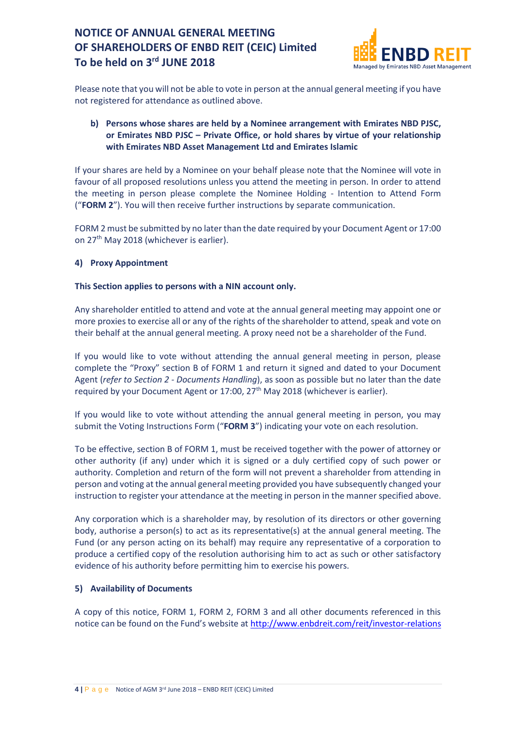

Please note that you will not be able to vote in person at the annual general meeting if you have not registered for attendance as outlined above.

## **b) Persons whose shares are held by a Nominee arrangement with Emirates NBD PJSC, or Emirates NBD PJSC – Private Office, or hold shares by virtue of your relationship with Emirates NBD Asset Management Ltd and Emirates Islamic**

If your shares are held by a Nominee on your behalf please note that the Nominee will vote in favour of all proposed resolutions unless you attend the meeting in person. In order to attend the meeting in person please complete the Nominee Holding - Intention to Attend Form ("**FORM 2**"). You will then receive further instructions by separate communication.

FORM 2 must be submitted by no later than the date required by your Document Agent or 17:00 on 27th May 2018 (whichever is earlier).

## **4) Proxy Appointment**

## **This Section applies to persons with a NIN account only.**

Any shareholder entitled to attend and vote at the annual general meeting may appoint one or more proxies to exercise all or any of the rights of the shareholder to attend, speak and vote on their behalf at the annual general meeting. A proxy need not be a shareholder of the Fund.

If you would like to vote without attending the annual general meeting in person, please complete the "Proxy" section B of FORM 1 and return it signed and dated to your Document Agent (*refer to Section 2 - Documents Handling*), as soon as possible but no later than the date required by your Document Agent or  $17:00$ ,  $27<sup>th</sup>$  May 2018 (whichever is earlier).

If you would like to vote without attending the annual general meeting in person, you may submit the Voting Instructions Form ("**FORM 3**") indicating your vote on each resolution.

To be effective, section B of FORM 1, must be received together with the power of attorney or other authority (if any) under which it is signed or a duly certified copy of such power or authority. Completion and return of the form will not prevent a shareholder from attending in person and voting at the annual general meeting provided you have subsequently changed your instruction to register your attendance at the meeting in person in the manner specified above.

Any corporation which is a shareholder may, by resolution of its directors or other governing body, authorise a person(s) to act as its representative(s) at the annual general meeting. The Fund (or any person acting on its behalf) may require any representative of a corporation to produce a certified copy of the resolution authorising him to act as such or other satisfactory evidence of his authority before permitting him to exercise his powers.

## **5) Availability of Documents**

A copy of this notice, FORM 1, FORM 2, FORM 3 and all other documents referenced in this notice can be found on the Fund's website at <http://www.enbdreit.com/reit/investor-relations>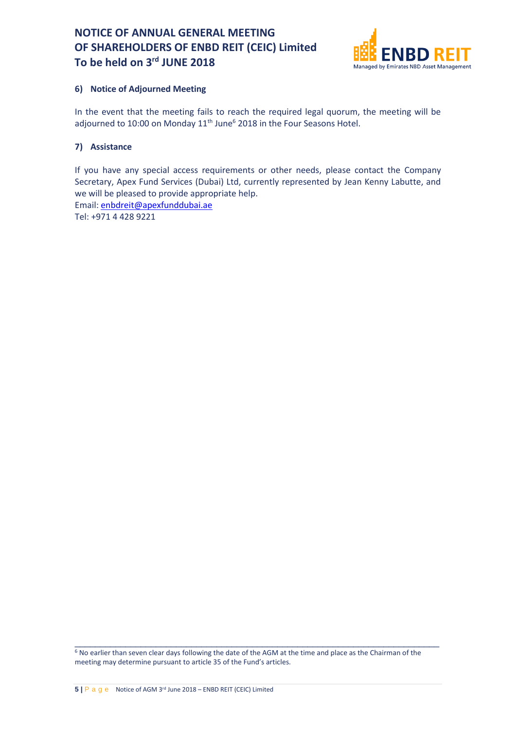

## **6) Notice of Adjourned Meeting**

In the event that the meeting fails to reach the required legal quorum, the meeting will be adjourned to 10:00 on Monday 11<sup>th</sup> June<sup>6</sup> 2018 in the Four Seasons Hotel.

## **7) Assistance**

If you have any special access requirements or other needs, please contact the Company Secretary, Apex Fund Services (Dubai) Ltd, currently represented by Jean Kenny Labutte, and we will be pleased to provide appropriate help.

Email: [enbdreit@apexfunddubai.ae](mailto:enbdreit@apexfunddubai.ae)

Tel: +971 4 428 9221

<sup>6</sup> No earlier than seven clear days following the date of the AGM at the time and place as the Chairman of the meeting may determine pursuant to article 35 of the Fund's articles.

 $\_$  , and the set of the set of the set of the set of the set of the set of the set of the set of the set of the set of the set of the set of the set of the set of the set of the set of the set of the set of the set of th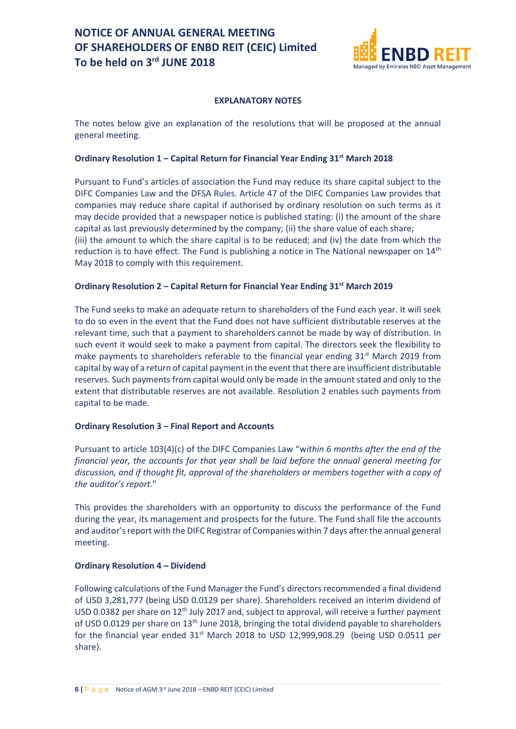

## **EXPLANATORY NOTES**

The notes below give an explanation of the resolutions that will be proposed at the annual general meeting.

## **Ordinary Resolution 1 – Capital Return for Financial Year Ending 31st March 2018**

Pursuant to Fund's articles of association the Fund may reduce its share capital subject to the DIFC Companies Law and the DFSA Rules. Article 47 of the DIFC Companies Law provides that companies may reduce share capital if authorised by ordinary resolution on such terms as it may decide provided that a newspaper notice is published stating: (i) the amount of the share capital as last previously determined by the company; (ii) the share value of each share; (iii) the amount to which the share capital is to be reduced; and (iv) the date from which the reduction is to have effect. The Fund is publishing a notice in The National newspaper on 14<sup>th</sup> May 2018 to comply with this requirement.

## **Ordinary Resolution 2 – Capital Return for Financial Year Ending 31st March 2019**

The Fund seeks to make an adequate return to shareholders of the Fund each year. It will seek to do so even in the event that the Fund does not have sufficient distributable reserves at the relevant time, such that a payment to shareholders cannot be made by way of distribution. In such event it would seek to make a payment from capital. The directors seek the flexibility to make payments to shareholders referable to the financial year ending  $31<sup>st</sup>$  March 2019 from capital by way of a return of capital payment in the event that there are insufficient distributable reserves. Such payments from capital would only be made in the amount stated and only to the extent that distributable reserves are not available. Resolution 2 enables such payments from capital to be made.

#### **Ordinary Resolution 3 – Final Report and Accounts**

Pursuant to article 103(4)(c) of the DIFC Companies Law "w*ithin 6 months after the end of the financial year, the accounts for that year shall be laid before the annual general meeting for discussion, and if thought fit, approval of the shareholders or members together with a copy of the auditor's report.*"

This provides the shareholders with an opportunity to discuss the performance of the Fund during the year, its management and prospects for the future. The Fund shall file the accounts and auditor's report with the DIFC Registrar of Companies within 7 days after the annual general meeting.

#### **Ordinary Resolution 4 – Dividend**

Following calculations of the Fund Manager the Fund's directors recommended a final dividend of USD 3,281,777 (being USD 0.0129 per share). Shareholders received an interim dividend of USD 0.0382 per share on 12<sup>th</sup> July 2017 and, subject to approval, will receive a further payment of USD 0.0129 per share on 13<sup>th</sup> June 2018, bringing the total dividend payable to shareholders for the financial year ended 31<sup>st</sup> March 2018 to USD 12,999,908.29 (being USD 0.0511 per share).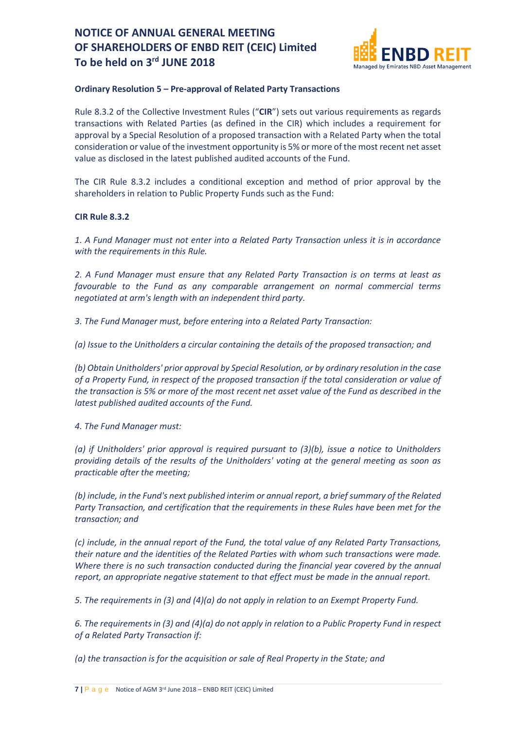

## **Ordinary Resolution 5 – Pre-approval of Related Party Transactions**

Rule 8.3.2 of the Collective Investment Rules ("**CIR**") sets out various requirements as regards transactions with Related Parties (as defined in the CIR) which includes a requirement for approval by a Special Resolution of a proposed transaction with a Related Party when the total consideration or value of the investment opportunity is 5% or more of the most recent net asset value as disclosed in the latest published audited accounts of the Fund.

The CIR Rule 8.3.2 includes a conditional exception and method of prior approval by the shareholders in relation to Public Property Funds such as the Fund:

## **CIR Rule 8.3.2**

*1. A Fund Manager must not enter into a Related Party Transaction unless it is in accordance with the requirements in this Rule.*

*2. A Fund Manager must ensure that any Related Party Transaction is on terms at least as favourable to the Fund as any comparable arrangement on normal commercial terms negotiated at arm's length with an independent third party.*

*3. The Fund Manager must, before entering into a Related Party Transaction:*

*(a) Issue to the Unitholders a circular containing the details of the proposed transaction; and*

*(b) Obtain Unitholders' prior approval by Special Resolution, or by ordinary resolution in the case of a Property Fund, in respect of the proposed transaction if the total consideration or value of the transaction is 5% or more of the most recent net asset value of the Fund as described in the latest published audited accounts of the Fund.*

*4. The Fund Manager must:*

*(a) if Unitholders' prior approval is required pursuant to (3)(b), issue a notice to Unitholders providing details of the results of the Unitholders' voting at the general meeting as soon as practicable after the meeting;*

*(b) include, in the Fund's next published interim or annual report, a brief summary of the Related Party Transaction, and certification that the requirements in these Rules have been met for the transaction; and*

*(c) include, in the annual report of the Fund, the total value of any Related Party Transactions, their nature and the identities of the Related Parties with whom such transactions were made. Where there is no such transaction conducted during the financial year covered by the annual report, an appropriate negative statement to that effect must be made in the annual report.*

*5. The requirements in (3) and (4)(a) do not apply in relation to an Exempt Property Fund.*

*6. The requirements in (3) and (4)(a) do not apply in relation to a Public Property Fund in respect of a Related Party Transaction if:*

*(a) the transaction is for the acquisition or sale of Real Property in the State; and*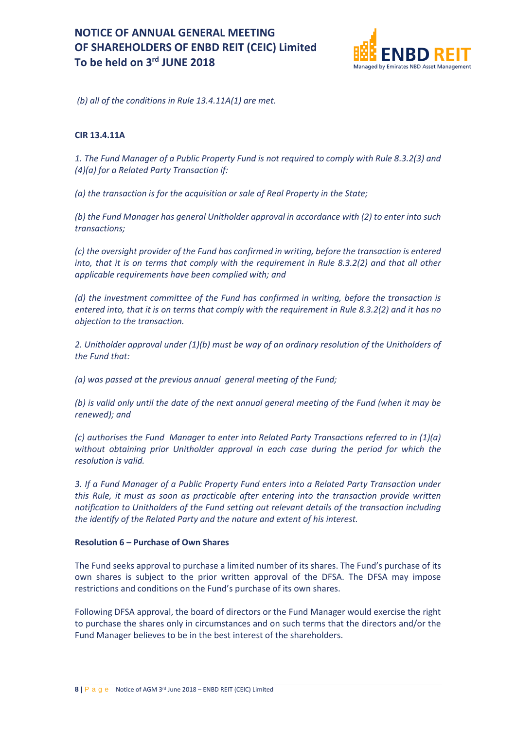

*(b) all of the conditions in Rule 13.4.11A(1) are met.*

## **CIR 13.4.11A**

*1. The Fund Manager of a Public Property Fund is not required to comply with Rule 8.3.2(3) and (4)(a) for a Related Party Transaction if:*

*(a) the transaction is for the acquisition or sale of Real Property in the State;*

*(b) the Fund Manager has general Unitholder approval in accordance with (2) to enter into such transactions;*

*(c) the oversight provider of the Fund has confirmed in writing, before the transaction is entered into, that it is on terms that comply with the requirement in Rule 8.3.2(2) and that all other applicable requirements have been complied with; and*

*(d) the investment committee of the Fund has confirmed in writing, before the transaction is entered into, that it is on terms that comply with the requirement in Rule 8.3.2(2) and it has no objection to the transaction.*

*2. Unitholder approval under (1)(b) must be way of an ordinary resolution of the Unitholders of the Fund that:* 

*(a) was passed at the previous annual general meeting of the Fund;*

*(b) is valid only until the date of the next annual general meeting of the Fund (when it may be renewed); and*

*(c) authorises the Fund Manager to enter into Related Party Transactions referred to in (1)(a) without obtaining prior Unitholder approval in each case during the period for which the resolution is valid.*

*3. If a Fund Manager of a Public Property Fund enters into a Related Party Transaction under this Rule, it must as soon as practicable after entering into the transaction provide written notification to Unitholders of the Fund setting out relevant details of the transaction including the identify of the Related Party and the nature and extent of his interest.*

#### **Resolution 6 – Purchase of Own Shares**

The Fund seeks approval to purchase a limited number of its shares. The Fund's purchase of its own shares is subject to the prior written approval of the DFSA. The DFSA may impose restrictions and conditions on the Fund's purchase of its own shares.

Following DFSA approval, the board of directors or the Fund Manager would exercise the right to purchase the shares only in circumstances and on such terms that the directors and/or the Fund Manager believes to be in the best interest of the shareholders.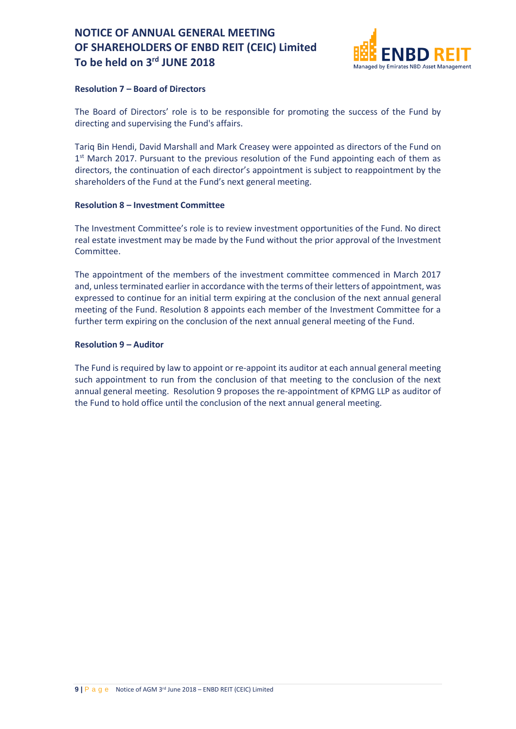

### **Resolution 7 – Board of Directors**

The Board of Directors' role is to be responsible for promoting the success of the Fund by directing and supervising the Fund's affairs.

Tariq Bin Hendi, David Marshall and Mark Creasey were appointed as directors of the Fund on 1<sup>st</sup> March 2017. Pursuant to the previous resolution of the Fund appointing each of them as directors, the continuation of each director's appointment is subject to reappointment by the shareholders of the Fund at the Fund's next general meeting.

## **Resolution 8 – Investment Committee**

The Investment Committee's role is to review investment opportunities of the Fund. No direct real estate investment may be made by the Fund without the prior approval of the Investment Committee.

The appointment of the members of the investment committee commenced in March 2017 and, unless terminated earlier in accordance with the terms of their letters of appointment, was expressed to continue for an initial term expiring at the conclusion of the next annual general meeting of the Fund. Resolution 8 appoints each member of the Investment Committee for a further term expiring on the conclusion of the next annual general meeting of the Fund.

## **Resolution 9 – Auditor**

The Fund is required by law to appoint or re-appoint its auditor at each annual general meeting such appointment to run from the conclusion of that meeting to the conclusion of the next annual general meeting. Resolution 9 proposes the re-appointment of KPMG LLP as auditor of the Fund to hold office until the conclusion of the next annual general meeting.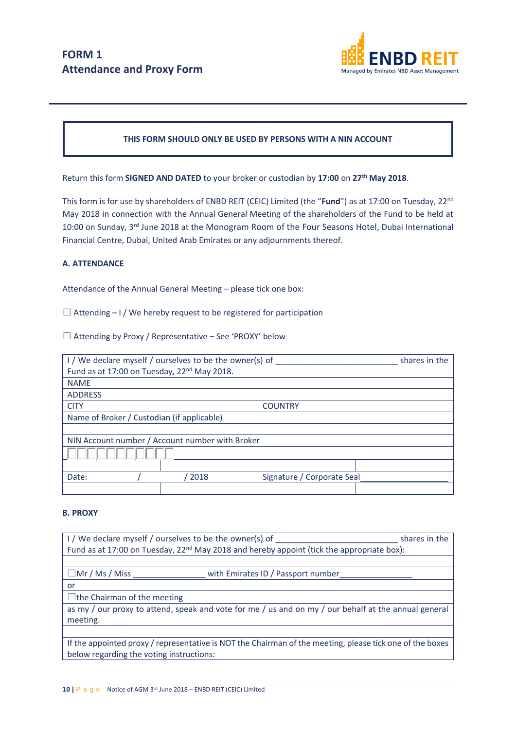

## **THIS FORM SHOULD ONLY BE USED BY PERSONS WITH A NIN ACCOUNT**

Return this form **SIGNED AND DATED** to your broker or custodian by **17:00** on **27th May 2018**.

This form is for use by shareholders of ENBD REIT (CEIC) Limited (the "**Fund**") as at 17:00 on Tuesday, 22nd May 2018 in connection with the Annual General Meeting of the shareholders of the Fund to be held at 10:00 on Sunday, 3rd June 2018 at the Monogram Room of the Four Seasons Hotel, Dubai International Financial Centre, Dubai, United Arab Emirates or any adjournments thereof.

#### **A. ATTENDANCE**

Attendance of the Annual General Meeting – please tick one box:

 $\Box$  Attending – I / We hereby request to be registered for participation

 $\Box$  Attending by Proxy / Representative – See 'PROXY' below

| I/We declare myself / ourselves to be the owner(s) of   |      |                            | shares in the |  |
|---------------------------------------------------------|------|----------------------------|---------------|--|
| Fund as at 17:00 on Tuesday, 22 <sup>nd</sup> May 2018. |      |                            |               |  |
| <b>NAME</b>                                             |      |                            |               |  |
| <b>ADDRESS</b>                                          |      |                            |               |  |
| <b>CITY</b>                                             |      | <b>COUNTRY</b>             |               |  |
| Name of Broker / Custodian (if applicable)              |      |                            |               |  |
|                                                         |      |                            |               |  |
| NIN Account number / Account number with Broker         |      |                            |               |  |
|                                                         |      |                            |               |  |
|                                                         |      |                            |               |  |
| Date:                                                   | 2018 | Signature / Corporate Seal |               |  |
|                                                         |      |                            |               |  |

#### **B. PROXY**

| I / We declare myself / ourselves to be the owner(s) of<br>shares in the                                 |                                    |  |  |
|----------------------------------------------------------------------------------------------------------|------------------------------------|--|--|
| Fund as at 17:00 on Tuesday, $22^{nd}$ May 2018 and hereby appoint (tick the appropriate box):           |                                    |  |  |
|                                                                                                          |                                    |  |  |
| $\Box$ Mr / Ms / Miss                                                                                    | with Emirates ID / Passport number |  |  |
| or                                                                                                       |                                    |  |  |
| $\Box$ the Chairman of the meeting                                                                       |                                    |  |  |
| as my / our proxy to attend, speak and vote for me / us and on my / our behalf at the annual general     |                                    |  |  |
| meeting.                                                                                                 |                                    |  |  |
|                                                                                                          |                                    |  |  |
| If the appointed proxy / representative is NOT the Chairman of the meeting, please tick one of the boxes |                                    |  |  |
| below regarding the voting instructions:                                                                 |                                    |  |  |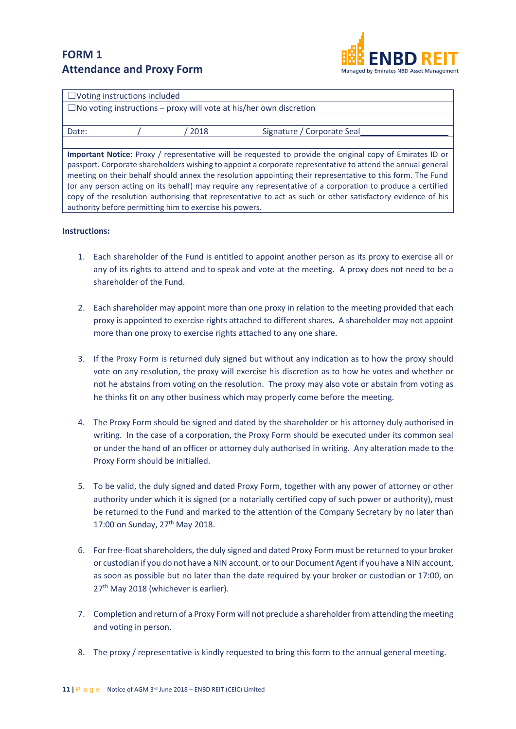## **FORM 1 Attendance and Proxy Form**



| $\Box$ Voting instructions included                                                                         |  |      |                            |  |
|-------------------------------------------------------------------------------------------------------------|--|------|----------------------------|--|
| $\Box$ No voting instructions – proxy will vote at his/her own discretion                                   |  |      |                            |  |
|                                                                                                             |  |      |                            |  |
| Date:                                                                                                       |  | 2018 | Signature / Corporate Seal |  |
|                                                                                                             |  |      |                            |  |
| Important Notice: Proxy / representative will be requested to provide the original copy of Emirates ID or   |  |      |                            |  |
| passport. Corporate shareholders wishing to appoint a corporate representative to attend the annual general |  |      |                            |  |
| meeting on their behalf should annex the resolution appointing their representative to this form. The Fund  |  |      |                            |  |
| (or any person acting on its behalf) may require any representative of a corporation to produce a certified |  |      |                            |  |
| copy of the resolution authorising that representative to act as such or other satisfactory evidence of his |  |      |                            |  |
| authority before permitting him to exercise his powers.                                                     |  |      |                            |  |

#### **Instructions:**

- 1. Each shareholder of the Fund is entitled to appoint another person as its proxy to exercise all or any of its rights to attend and to speak and vote at the meeting. A proxy does not need to be a shareholder of the Fund.
- 2. Each shareholder may appoint more than one proxy in relation to the meeting provided that each proxy is appointed to exercise rights attached to different shares. A shareholder may not appoint more than one proxy to exercise rights attached to any one share.
- 3. If the Proxy Form is returned duly signed but without any indication as to how the proxy should vote on any resolution, the proxy will exercise his discretion as to how he votes and whether or not he abstains from voting on the resolution. The proxy may also vote or abstain from voting as he thinks fit on any other business which may properly come before the meeting.
- 4. The Proxy Form should be signed and dated by the shareholder or his attorney duly authorised in writing. In the case of a corporation, the Proxy Form should be executed under its common seal or under the hand of an officer or attorney duly authorised in writing. Any alteration made to the Proxy Form should be initialled.
- 5. To be valid, the duly signed and dated Proxy Form, together with any power of attorney or other authority under which it is signed (or a notarially certified copy of such power or authority), must be returned to the Fund and marked to the attention of the Company Secretary by no later than 17:00 on Sunday, 27<sup>th</sup> May 2018.
- 6. For free-float shareholders, the duly signed and dated Proxy Form must be returned to your broker or custodian if you do not have a NIN account, or to our Document Agent if you have a NIN account, as soon as possible but no later than the date required by your broker or custodian or 17:00, on 27<sup>th</sup> May 2018 (whichever is earlier).
- 7. Completion and return of a Proxy Form will not preclude a shareholder from attending the meeting and voting in person.
- 8. The proxy / representative is kindly requested to bring this form to the annual general meeting.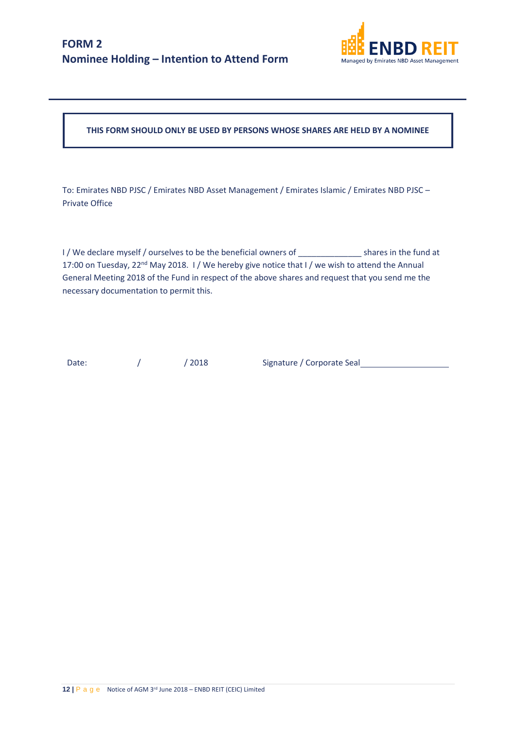

**THIS FORM SHOULD ONLY BE USED BY PERSONS WHOSE SHARES ARE HELD BY A NOMINEE**

To: Emirates NBD PJSC / Emirates NBD Asset Management / Emirates Islamic / Emirates NBD PJSC – Private Office

I / We declare myself / ourselves to be the beneficial owners of shares in the fund at 17:00 on Tuesday, 22<sup>nd</sup> May 2018. I/We hereby give notice that I/we wish to attend the Annual General Meeting 2018 of the Fund in respect of the above shares and request that you send me the necessary documentation to permit this.

Date: / / / 2018 Signature / Corporate Seal 2008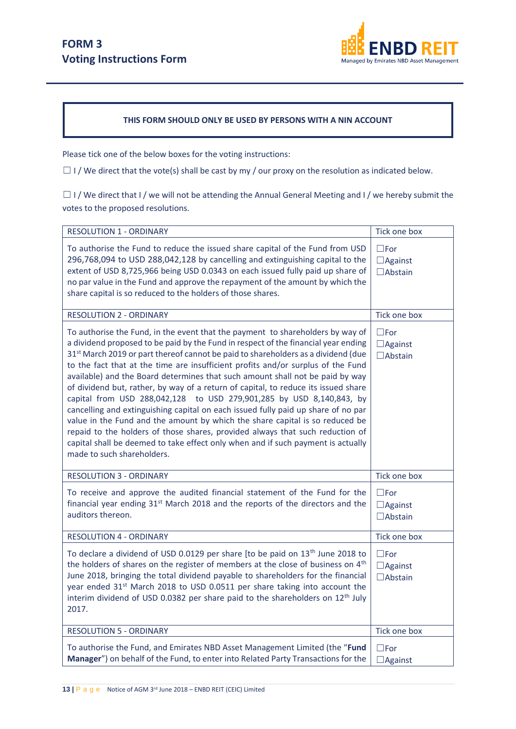

## **THIS FORM SHOULD ONLY BE USED BY PERSONS WITH A NIN ACCOUNT**

Please tick one of the below boxes for the voting instructions:

 $\Box$  I / We direct that the vote(s) shall be cast by my / our proxy on the resolution as indicated below.

□ I / We direct that I / we will not be attending the Annual General Meeting and I / we hereby submit the votes to the proposed resolutions.

| <b>RESOLUTION 1 - ORDINARY</b>                                                                                                                                                                                                                                                                                                                                                                                                                                                                                                                                                                                                                                                                                                                                                                                                                                                                                                                                                   | Tick one box                                      |
|----------------------------------------------------------------------------------------------------------------------------------------------------------------------------------------------------------------------------------------------------------------------------------------------------------------------------------------------------------------------------------------------------------------------------------------------------------------------------------------------------------------------------------------------------------------------------------------------------------------------------------------------------------------------------------------------------------------------------------------------------------------------------------------------------------------------------------------------------------------------------------------------------------------------------------------------------------------------------------|---------------------------------------------------|
| To authorise the Fund to reduce the issued share capital of the Fund from USD<br>296,768,094 to USD 288,042,128 by cancelling and extinguishing capital to the<br>extent of USD 8,725,966 being USD 0.0343 on each issued fully paid up share of<br>no par value in the Fund and approve the repayment of the amount by which the<br>share capital is so reduced to the holders of those shares.                                                                                                                                                                                                                                                                                                                                                                                                                                                                                                                                                                                 | $\square$ For<br>$\Box$ Against<br>$\Box$ Abstain |
| <b>RESOLUTION 2 - ORDINARY</b>                                                                                                                                                                                                                                                                                                                                                                                                                                                                                                                                                                                                                                                                                                                                                                                                                                                                                                                                                   | Tick one box                                      |
| To authorise the Fund, in the event that the payment to shareholders by way of<br>a dividend proposed to be paid by the Fund in respect of the financial year ending<br>31 <sup>st</sup> March 2019 or part thereof cannot be paid to shareholders as a dividend (due<br>to the fact that at the time are insufficient profits and/or surplus of the Fund<br>available) and the Board determines that such amount shall not be paid by way<br>of dividend but, rather, by way of a return of capital, to reduce its issued share<br>capital from USD 288,042,128 to USD 279,901,285 by USD 8,140,843, by<br>cancelling and extinguishing capital on each issued fully paid up share of no par<br>value in the Fund and the amount by which the share capital is so reduced be<br>repaid to the holders of those shares, provided always that such reduction of<br>capital shall be deemed to take effect only when and if such payment is actually<br>made to such shareholders. | $\square$ For<br>$\Box$ Against<br>$\Box$ Abstain |
| <b>RESOLUTION 3 - ORDINARY</b>                                                                                                                                                                                                                                                                                                                                                                                                                                                                                                                                                                                                                                                                                                                                                                                                                                                                                                                                                   | Tick one box                                      |
| To receive and approve the audited financial statement of the Fund for the<br>financial year ending 31 <sup>st</sup> March 2018 and the reports of the directors and the<br>auditors thereon.                                                                                                                                                                                                                                                                                                                                                                                                                                                                                                                                                                                                                                                                                                                                                                                    | $\square$ For<br>$\Box$ Against<br>$\Box$ Abstain |
| <b>RESOLUTION 4 - ORDINARY</b>                                                                                                                                                                                                                                                                                                                                                                                                                                                                                                                                                                                                                                                                                                                                                                                                                                                                                                                                                   | Tick one box                                      |
| To declare a dividend of USD 0.0129 per share [to be paid on 13 <sup>th</sup> June 2018 to<br>the holders of shares on the register of members at the close of business on 4 <sup>th</sup><br>June 2018, bringing the total dividend payable to shareholders for the financial<br>year ended 31 <sup>st</sup> March 2018 to USD 0.0511 per share taking into account the<br>interim dividend of USD 0.0382 per share paid to the shareholders on 12 <sup>th</sup> July<br>2017.                                                                                                                                                                                                                                                                                                                                                                                                                                                                                                  | $\square$ For<br>$\Box$ Against<br>$\Box$ Abstain |
| <b>RESOLUTION 5 - ORDINARY</b>                                                                                                                                                                                                                                                                                                                                                                                                                                                                                                                                                                                                                                                                                                                                                                                                                                                                                                                                                   | Tick one box                                      |
| To authorise the Fund, and Emirates NBD Asset Management Limited (the "Fund<br>Manager") on behalf of the Fund, to enter into Related Party Transactions for the                                                                                                                                                                                                                                                                                                                                                                                                                                                                                                                                                                                                                                                                                                                                                                                                                 | $\square$ For<br>$\Box$ Against                   |